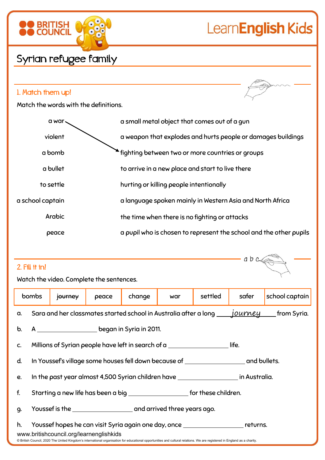# LearnEnglish Kids

 $a b c$ 

### Syrian refugee family

**BRITISH**<br>COUNCIL

### 1. Match them up!

Match the words with the definitions.

| a war.           | a small metal object that comes out of a gun                       |
|------------------|--------------------------------------------------------------------|
| violent          | a weapon that explodes and hurts people or damages buildings       |
| a bomb           | fighting between two or more countries or groups                   |
| a bullet         | to arrive in a new place and start to live there                   |
| to settle        | hurting or killing people intentionally                            |
| a school captain | a language spoken mainly in Western Asia and North Africa          |
| Arabic           | the time when there is no fighting or attacks                      |
| peace            | a pupil who is chosen to represent the school and the other pupils |
|                  |                                                                    |

### 2. Fill it in!

Watch the video. Complete the sentences.

|                                                                                                                                                                          | bombs                                                                                                                                | journey | peace | change | war | settled | safer | school captain |  |
|--------------------------------------------------------------------------------------------------------------------------------------------------------------------------|--------------------------------------------------------------------------------------------------------------------------------------|---------|-------|--------|-----|---------|-------|----------------|--|
| a.                                                                                                                                                                       | Sara and her classmates started school in Australia after a long <i>_____journey</i> ______from Syria.                               |         |       |        |     |         |       |                |  |
| $\mathbf b$ .                                                                                                                                                            | A ___________________________began in Syria in 2011.                                                                                 |         |       |        |     |         |       |                |  |
| C.                                                                                                                                                                       | Millions of Syrian people have left in search of a<br>life.                                                                          |         |       |        |     |         |       |                |  |
| d.                                                                                                                                                                       | In Youssef's village some houses fell down because of ___________________________ and bullets.                                       |         |       |        |     |         |       |                |  |
| e.                                                                                                                                                                       |                                                                                                                                      |         |       |        |     |         |       |                |  |
| f.                                                                                                                                                                       | Starting a new life has been a big _______________________ for these children.                                                       |         |       |        |     |         |       |                |  |
| 9.                                                                                                                                                                       | Youssef is the <b>contract the contract of the set of the set of the set of the set of the set of the set of the s</b>               |         |       |        |     |         |       |                |  |
| h.                                                                                                                                                                       | Youssef hopes he can visit Syria again one day, once ___________________________ returns.<br>www.britishcouncil.org/learnenglishkids |         |       |        |     |         |       |                |  |
| @ British Council, 2020 The United Kingdom's international organisation for educational opportunities and cultural relations. We are registered in England as a charity. |                                                                                                                                      |         |       |        |     |         |       |                |  |